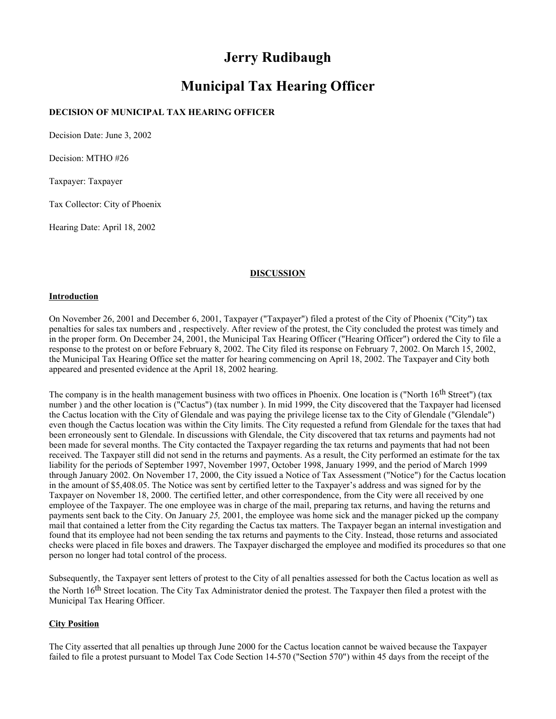# **Jerry Rudibaugh**

# **Municipal Tax Hearing Officer**

## **DECISION OF MUNICIPAL TAX HEARING OFFICER**

Decision Date: June 3, 2002

Decision: MTHO #26

Taxpayer: Taxpayer

Tax Collector: City of Phoenix

Hearing Date: April 18, 2002

#### **DISCUSSION**

#### **Introduction**

On November 26, 2001 and December 6, 2001, Taxpayer ("Taxpayer") filed a protest of the City of Phoenix ("City") tax penalties for sales tax numbers and , respectively. After review of the protest, the City concluded the protest was timely and in the proper form. On December 24, 2001, the Municipal Tax Hearing Officer ("Hearing Officer") ordered the City to file a response to the protest on or before February 8, 2002. The City filed its response on February 7, 2002. On March 15, 2002, the Municipal Tax Hearing Office set the matter for hearing commencing on April 18, 2002. The Taxpayer and City both appeared and presented evidence at the April 18, 2002 hearing.

The company is in the health management business with two offices in Phoenix. One location is ("North 16<sup>th</sup> Street") (tax number ) and the other location is ("Cactus") (tax number ). In mid 1999, the City discovered that the Taxpayer had licensed the Cactus location with the City of Glendale and was paying the privilege license tax to the City of Glendale ("Glendale") even though the Cactus location was within the City limits. The City requested a refund from Glendale for the taxes that had been erroneously sent to Glendale. In discussions with Glendale, the City discovered that tax returns and payments had not been made for several months. The City contacted the Taxpayer regarding the tax returns and payments that had not been received. The Taxpayer still did not send in the returns and payments. As a result, the City performed an estimate for the tax liability for the periods of September 1997, November 1997, October 1998, January 1999, and the period of March 1999 through January 2002. On November 17, 2000, the City issued a Notice of Tax Assessment ("Notice") for the Cactus location in the amount of \$5,408.05. The Notice was sent by certified letter to the Taxpayer's address and was signed for by the Taxpayer on November 18, 2000. The certified letter, and other correspondence, from the City were all received by one employee of the Taxpayer. The one employee was in charge of the mail, preparing tax returns, and having the returns and payments sent back to the City. On January *25,* 2001, the employee was home sick and the manager picked up the company mail that contained a letter from the City regarding the Cactus tax matters. The Taxpayer began an internal investigation and found that its employee had not been sending the tax returns and payments to the City. Instead, those returns and associated checks were placed in file boxes and drawers. The Taxpayer discharged the employee and modified its procedures so that one person no longer had total control of the process.

Subsequently, the Taxpayer sent letters of protest to the City of all penalties assessed for both the Cactus location as well as the North 16<sup>th</sup> Street location. The City Tax Administrator denied the protest. The Taxpayer then filed a protest with the Municipal Tax Hearing Officer.

## **City Position**

The City asserted that all penalties up through June 2000 for the Cactus location cannot be waived because the Taxpayer failed to file a protest pursuant to Model Tax Code Section 14-570 ("Section 570") within 45 days from the receipt of the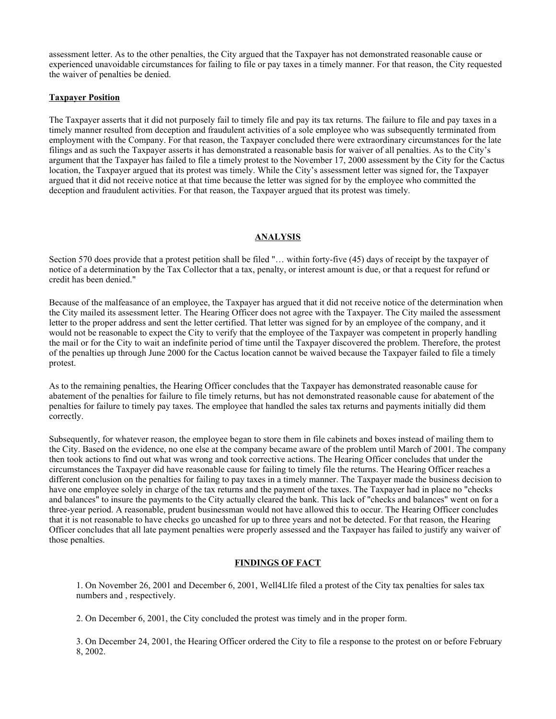assessment letter. As to the other penalties, the City argued that the Taxpayer has not demonstrated reasonable cause or experienced unavoidable circumstances for failing to file or pay taxes in a timely manner. For that reason, the City requested the waiver of penalties be denied.

#### **Taxpayer Position**

The Taxpayer asserts that it did not purposely fail to timely file and pay its tax returns. The failure to file and pay taxes in a timely manner resulted from deception and fraudulent activities of a sole employee who was subsequently terminated from employment with the Company. For that reason, the Taxpayer concluded there were extraordinary circumstances for the late filings and as such the Taxpayer asserts it has demonstrated a reasonable basis for waiver of all penalties. As to the City's argument that the Taxpayer has failed to file a timely protest to the November 17, 2000 assessment by the City for the Cactus location, the Taxpayer argued that its protest was timely. While the City's assessment letter was signed for, the Taxpayer argued that it did not receive notice at that time because the letter was signed for by the employee who committed the deception and fraudulent activities. For that reason, the Taxpayer argued that its protest was timely.

#### **ANALYSIS**

Section 570 does provide that a protest petition shall be filed "… within forty-five (45) days of receipt by the taxpayer of notice of a determination by the Tax Collector that a tax, penalty, or interest amount is due, or that a request for refund or credit has been denied."

Because of the malfeasance of an employee, the Taxpayer has argued that it did not receive notice of the determination when the City mailed its assessment letter. The Hearing Officer does not agree with the Taxpayer. The City mailed the assessment letter to the proper address and sent the letter certified. That letter was signed for by an employee of the company, and it would not be reasonable to expect the City to verify that the employee of the Taxpayer was competent in properly handling the mail or for the City to wait an indefinite period of time until the Taxpayer discovered the problem. Therefore, the protest of the penalties up through June 2000 for the Cactus location cannot be waived because the Taxpayer failed to file a timely protest.

As to the remaining penalties, the Hearing Officer concludes that the Taxpayer has demonstrated reasonable cause for abatement of the penalties for failure to file timely returns, but has not demonstrated reasonable cause for abatement of the penalties for failure to timely pay taxes. The employee that handled the sales tax returns and payments initially did them correctly.

Subsequently, for whatever reason, the employee began to store them in file cabinets and boxes instead of mailing them to the City. Based on the evidence, no one else at the company became aware of the problem until March of 2001. The company then took actions to find out what was wrong and took corrective actions. The Hearing Officer concludes that under the circumstances the Taxpayer did have reasonable cause for failing to timely file the returns. The Hearing Officer reaches a different conclusion on the penalties for failing to pay taxes in a timely manner. The Taxpayer made the business decision to have one employee solely in charge of the tax returns and the payment of the taxes. The Taxpayer had in place no "checks and balances" to insure the payments to the City actually cleared the bank. This lack of "checks and balances" went on for a three-year period. A reasonable, prudent businessman would not have allowed this to occur. The Hearing Officer concludes that it is not reasonable to have checks go uncashed for up to three years and not be detected. For that reason, the Hearing Officer concludes that all late payment penalties were properly assessed and the Taxpayer has failed to justify any waiver of those penalties.

#### **FINDINGS OF FACT**

1. On November 26, 2001 and December 6, 2001, Well4Llfe filed a protest of the City tax penalties for sales tax numbers and , respectively.

2. On December 6, 2001, the City concluded the protest was timely and in the proper form.

3. On December 24, 2001, the Hearing Officer ordered the City to file a response to the protest on or before February 8, 2002.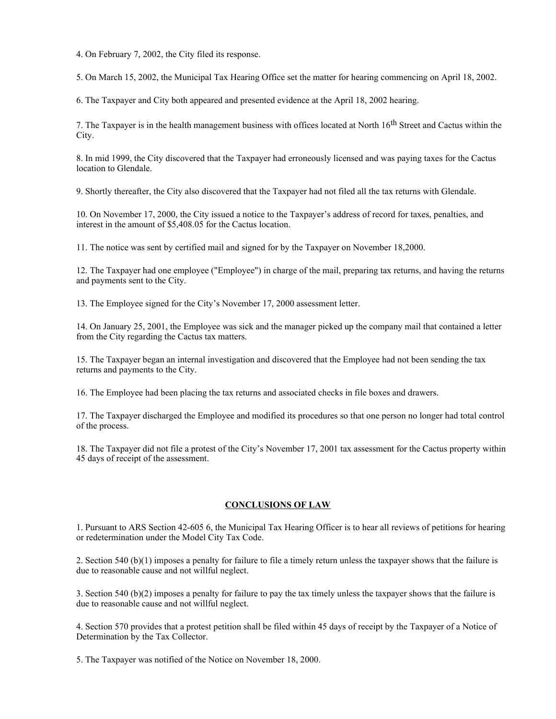4. On February 7, 2002, the City filed its response.

5. On March 15, 2002, the Municipal Tax Hearing Office set the matter for hearing commencing on April 18, 2002.

6. The Taxpayer and City both appeared and presented evidence at the April 18, 2002 hearing.

7. The Taxpayer is in the health management business with offices located at North 16<sup>th</sup> Street and Cactus within the City.

8. In mid 1999, the City discovered that the Taxpayer had erroneously licensed and was paying taxes for the Cactus location to Glendale.

9. Shortly thereafter, the City also discovered that the Taxpayer had not filed all the tax returns with Glendale.

10. On November 17, 2000, the City issued a notice to the Taxpayer's address of record for taxes, penalties, and interest in the amount of \$5,408.05 for the Cactus location.

11. The notice was sent by certified mail and signed for by the Taxpayer on November 18,2000.

12. The Taxpayer had one employee ("Employee") in charge of the mail, preparing tax returns, and having the returns and payments sent to the City.

13. The Employee signed for the City's November 17, 2000 assessment letter.

14. On January 25, 2001, the Employee was sick and the manager picked up the company mail that contained a letter from the City regarding the Cactus tax matters.

15. The Taxpayer began an internal investigation and discovered that the Employee had not been sending the tax returns and payments to the City.

16. The Employee had been placing the tax returns and associated checks in file boxes and drawers.

17. The Taxpayer discharged the Employee and modified its procedures so that one person no longer had total control of the process.

18. The Taxpayer did not file a protest of the City's November 17, 2001 tax assessment for the Cactus property within 45 days of receipt of the assessment.

### **CONCLUSIONS OF LAW**

1. Pursuant to ARS Section 42-605 6, the Municipal Tax Hearing Officer is to hear all reviews of petitions for hearing or redetermination under the Model City Tax Code.

2. Section 540 (b)(1) imposes a penalty for failure to file a timely return unless the taxpayer shows that the failure is due to reasonable cause and not willful neglect.

3. Section 540 (b)(2) imposes a penalty for failure to pay the tax timely unless the taxpayer shows that the failure is due to reasonable cause and not willful neglect.

4. Section 570 provides that a protest petition shall be filed within 45 days of receipt by the Taxpayer of a Notice of Determination by the Tax Collector.

5. The Taxpayer was notified of the Notice on November 18, 2000.